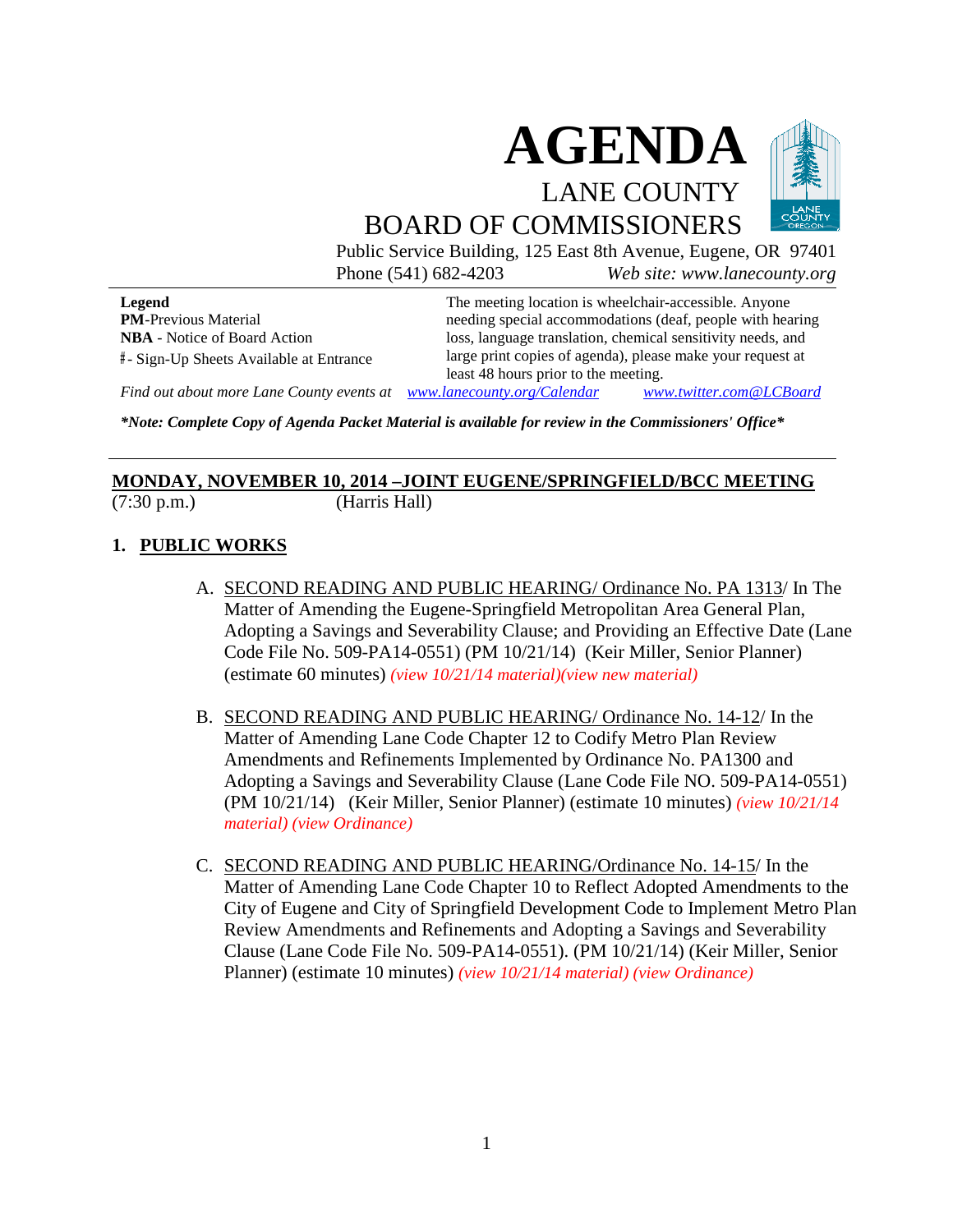

Public Service Building, 125 East 8th Avenue, Eugene, OR 97401 Phone (541) 682-4203 *Web site: www.lanecounty.org*

**Legend PM**-Previous Material **NBA** - Notice of Board Action **#** - Sign-Up Sheets Available at Entrance The meeting location is wheelchair-accessible. Anyone needing special accommodations (deaf, people with hearing loss, language translation, chemical sensitivity needs, and large print copies of agenda), please make your request at least 48 hours prior to the meeting.

*Find out about more Lane County events at [www.lanecounty.org/Calendar](http://www.lanecounty.org/Calendar) [www.twitter.com@LCBoard](http://www.twitter.com@lcboard/)*

*\*Note: Complete Copy of Agenda Packet Material is available for review in the Commissioners' Office\**

#### **MONDAY, NOVEMBER 10, 2014 –JOINT EUGENE/SPRINGFIELD/BCC MEETING** (7:30 p.m.) (Harris Hall)

## **1. PUBLIC WORKS**

- A. SECOND READING AND PUBLIC HEARING/ Ordinance No. PA 1313/ In The Matter of Amending the Eugene-Springfield Metropolitan Area General Plan, Adopting a Savings and Severability Clause; and Providing an Effective Date (Lane Code File No. 509-PA14-0551) (PM 10/21/14) (Keir Miller, Senior Planner) (estimate 60 minutes) *[\(view 10/21/14 material\)\(](http://www.lanecounty.org/UserFiles/Servers/Server_3585797/File/Government/BCC/2014/2014_AGENDAS/102114agenda/T.6.B.pdf)[view new material\)](http://www.lanecounty.org/UserFiles/Servers/Server_3585797/File/Government/BCC/2014/2014_AGENDAS/111214agenda/M.1.A.pdf)*
- B. SECOND READING AND PUBLIC HEARING/ Ordinance No. 14-12/ In the Matter of Amending Lane Code Chapter 12 to Codify Metro Plan Review Amendments and Refinements Implemented by Ordinance No. PA1300 and Adopting a Savings and Severability Clause (Lane Code File NO. 509-PA14-0551) (PM 10/21/14) (Keir Miller, Senior Planner) (estimate 10 minutes) *[\(view 10/21/14](http://www.lanecounty.org/UserFiles/Servers/Server_3585797/File/Government/BCC/2014/2014_AGENDAS/102114agenda/T.6.B.pdf) [material\)](http://www.lanecounty.org/UserFiles/Servers/Server_3585797/File/Government/BCC/2014/2014_AGENDAS/102114agenda/T.6.B.pdf) [\(view Ordinance\)](http://www.lanecounty.org/UserFiles/Servers/Server_3585797/File/Government/BCC/2014/2014_AGENDAS/102114agenda/T.6.D.pdf)*
- C. SECOND READING AND PUBLIC HEARING/Ordinance No. 14-15/ In the Matter of Amending Lane Code Chapter 10 to Reflect Adopted Amendments to the City of Eugene and City of Springfield Development Code to Implement Metro Plan Review Amendments and Refinements and Adopting a Savings and Severability Clause (Lane Code File No. 509-PA14-0551). (PM 10/21/14) (Keir Miller, Senior Planner) (estimate 10 minutes) *[\(view 10/21/14 mater](http://www.lanecounty.org/UserFiles/Servers/Server_3585797/File/Government/BCC/2014/2014_AGENDAS/102114agenda/T.6.B.pdf)[ial\) \(view Ordinance\)](http://www.lanecounty.org/UserFiles/Servers/Server_3585797/File/Government/BCC/2014/2014_AGENDAS/102114agenda/T.6.C.pdf)*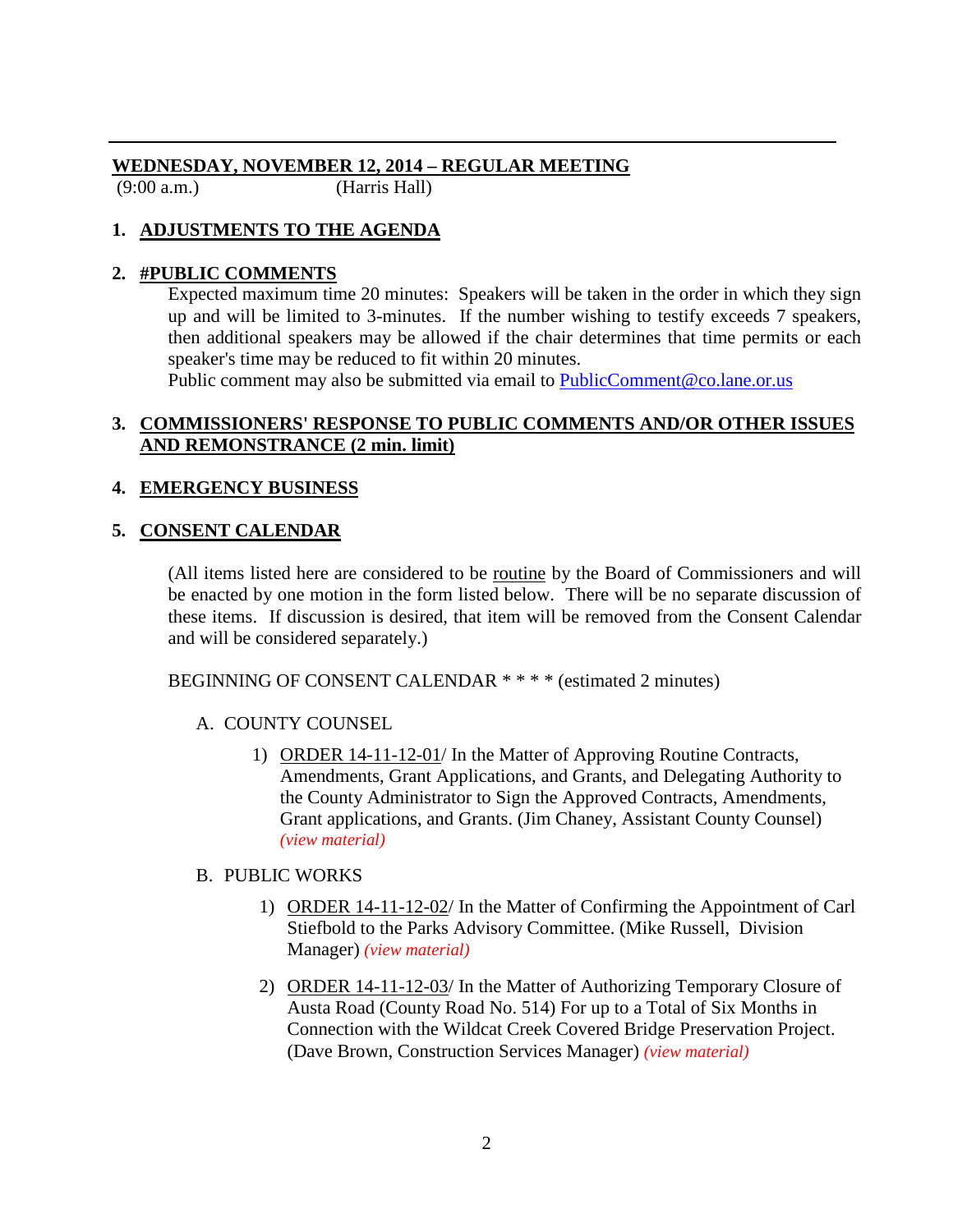## **WEDNESDAY, NOVEMBER 12, 2014 – REGULAR MEETING**

(9:00 a.m.) (Harris Hall)

# **1. ADJUSTMENTS TO THE AGENDA**

# **2. #PUBLIC COMMENTS**

Expected maximum time 20 minutes: Speakers will be taken in the order in which they sign up and will be limited to 3-minutes. If the number wishing to testify exceeds 7 speakers, then additional speakers may be allowed if the chair determines that time permits or each speaker's time may be reduced to fit within 20 minutes.

Public comment may also be submitted via email to [PublicComment@co.lane.or.us](mailto:PublicComment@co.lane.or.us)

## **3. COMMISSIONERS' RESPONSE TO PUBLIC COMMENTS AND/OR OTHER ISSUES AND REMONSTRANCE (2 min. limit)**

## **4. EMERGENCY BUSINESS**

# **5. CONSENT CALENDAR**

(All items listed here are considered to be routine by the Board of Commissioners and will be enacted by one motion in the form listed below. There will be no separate discussion of these items. If discussion is desired, that item will be removed from the Consent Calendar and will be considered separately.)

BEGINNING OF CONSENT CALENDAR \* \* \* \* (estimated 2 minutes)

# A. COUNTY COUNSEL

1) ORDER 14-11-12-01/ In the Matter of Approving Routine Contracts, Amendments, Grant Applications, and Grants, and Delegating Authority to the County Administrator to Sign the Approved Contracts, Amendments, Grant applications, and Grants. (Jim Chaney, Assistant County Counsel) *[\(view material\)](http://www.lanecounty.org/UserFiles/Servers/Server_3585797/File/Government/BCC/2014/2014_AGENDAS/111214agenda/W.5.A.1.pdf)*

## B. PUBLIC WORKS

- 1) ORDER 14-11-12-02/ In the Matter of Confirming the Appointment of Carl Stiefbold to the Parks Advisory Committee. (Mike Russell, Division Manager) *[\(view material\)](http://www.lanecounty.org/UserFiles/Servers/Server_3585797/File/Government/BCC/2014/2014_AGENDAS/111214agenda/W.5.B.1.pdf)*
- 2) ORDER 14-11-12-03/ In the Matter of Authorizing Temporary Closure of Austa Road (County Road No. 514) For up to a Total of Six Months in Connection with the Wildcat Creek Covered Bridge Preservation Project. (Dave Brown, Construction Services Manager) *[\(view material\)](http://www.lanecounty.org/UserFiles/Servers/Server_3585797/File/Government/BCC/2014/2014_AGENDAS/111214agenda/W.5.B.2.pdf)*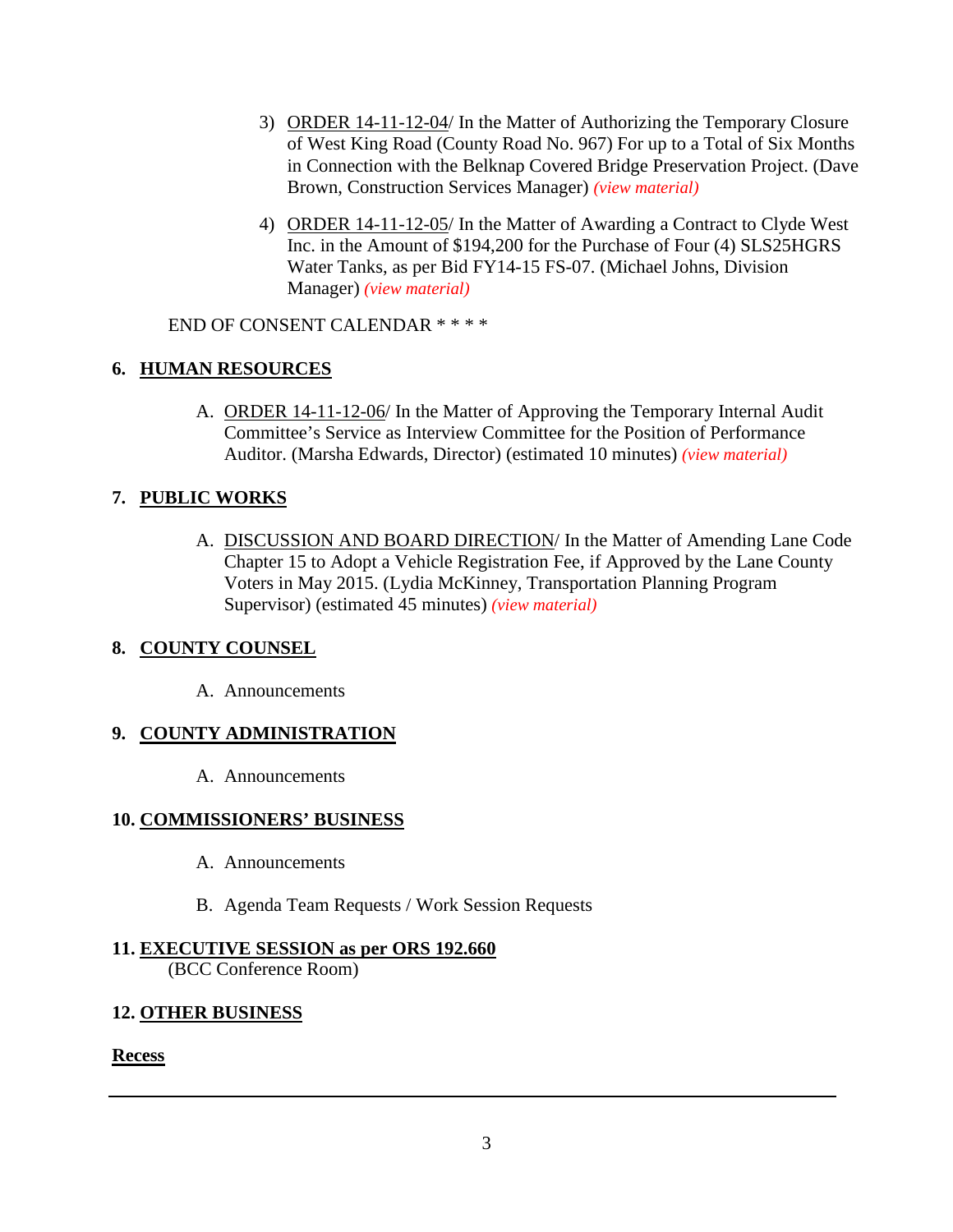- 3) ORDER 14-11-12-04/ In the Matter of Authorizing the Temporary Closure of West King Road (County Road No. 967) For up to a Total of Six Months in Connection with the Belknap Covered Bridge Preservation Project. (Dave Brown, Construction Services Manager) *[\(view material\)](http://www.lanecounty.org/UserFiles/Servers/Server_3585797/File/Government/BCC/2014/2014_AGENDAS/111214agenda/W.5.B.3.pdf)*
- 4) ORDER 14-11-12-05/ In the Matter of Awarding a Contract to Clyde West Inc. in the Amount of \$194,200 for the Purchase of Four (4) SLS25HGRS Water Tanks, as per Bid FY14-15 FS-07. (Michael Johns, Division Manager) *[\(view material\)](http://www.lanecounty.org/UserFiles/Servers/Server_3585797/File/Government/BCC/2014/2014_AGENDAS/111214agenda/W.5.B.4.pdf)*

END OF CONSENT CALENDAR \* \* \* \*

# **6. HUMAN RESOURCES**

A. ORDER 14-11-12-06/ In the Matter of Approving the Temporary Internal Audit Committee's Service as Interview Committee for the Position of Performance Auditor. (Marsha Edwards, Director) (estimated 10 minutes) *[\(view material\)](http://www.lanecounty.org/UserFiles/Servers/Server_3585797/File/Government/BCC/2014/2014_AGENDAS/111214agenda/W.6.A.pdf)*

## **7. PUBLIC WORKS**

A. DISCUSSION AND BOARD DIRECTION/ In the Matter of Amending Lane Code Chapter 15 to Adopt a Vehicle Registration Fee, if Approved by the Lane County Voters in May 2015. (Lydia McKinney, Transportation Planning Program Supervisor) (estimated 45 minutes) *[\(view material\)](http://www.lanecounty.org/UserFiles/Servers/Server_3585797/File/Government/BCC/2014/2014_AGENDAS/111214agenda/W.7.A.pdf)*

## **8. COUNTY COUNSEL**

A. Announcements

## **9. COUNTY ADMINISTRATION**

A. Announcements

## **10. COMMISSIONERS' BUSINESS**

- A. Announcements
- B. Agenda Team Requests / Work Session Requests

# **11. EXECUTIVE SESSION as per ORS 192.660**

(BCC Conference Room)

## **12. OTHER BUSINESS**

**Recess**